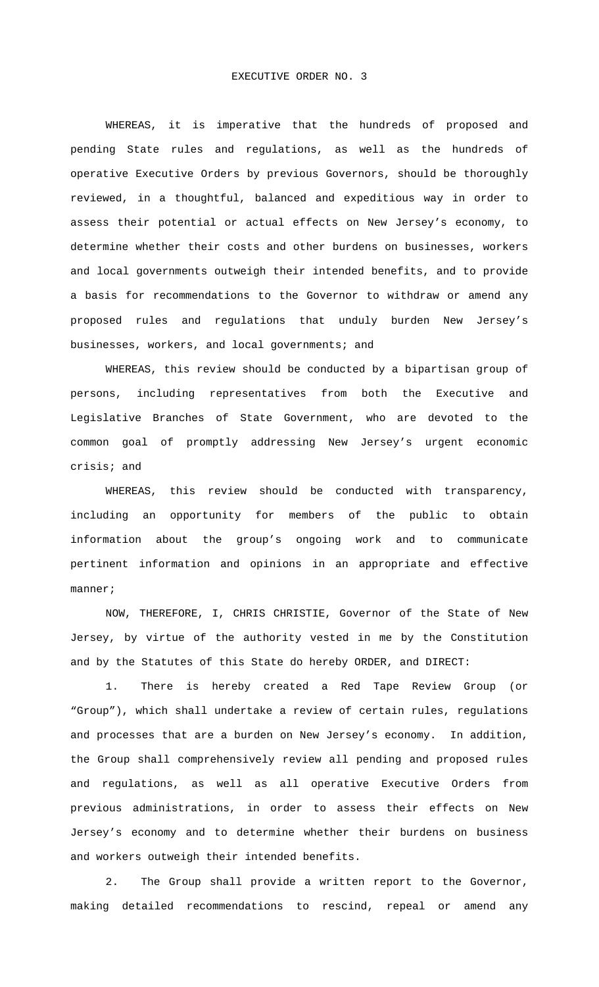WHEREAS, it is imperative that the hundreds of proposed and pending State rules and regulations, as well as the hundreds of operative Executive Orders by previous Governors, should be thoroughly reviewed, in a thoughtful, balanced and expeditious way in order to assess their potential or actual effects on New Jersey's economy, to determine whether their costs and other burdens on businesses, workers and local governments outweigh their intended benefits, and to provide a basis for recommendations to the Governor to withdraw or amend any proposed rules and regulations that unduly burden New Jersey's businesses, workers, and local governments; and

WHEREAS, this review should be conducted by a bipartisan group of persons, including representatives from both the Executive and Legislative Branches of State Government, who are devoted to the common goal of promptly addressing New Jersey's urgent economic crisis; and

WHEREAS, this review should be conducted with transparency, including an opportunity for members of the public to obtain information about the group's ongoing work and to communicate pertinent information and opinions in an appropriate and effective manner;

NOW, THEREFORE, I, CHRIS CHRISTIE, Governor of the State of New Jersey, by virtue of the authority vested in me by the Constitution and by the Statutes of this State do hereby ORDER, and DIRECT:

1. There is hereby created a Red Tape Review Group (or "Group"), which shall undertake a review of certain rules, regulations and processes that are a burden on New Jersey's economy. In addition, the Group shall comprehensively review all pending and proposed rules and regulations, as well as all operative Executive Orders from previous administrations, in order to assess their effects on New Jersey's economy and to determine whether their burdens on business and workers outweigh their intended benefits.

2. The Group shall provide a written report to the Governor, making detailed recommendations to rescind, repeal or amend any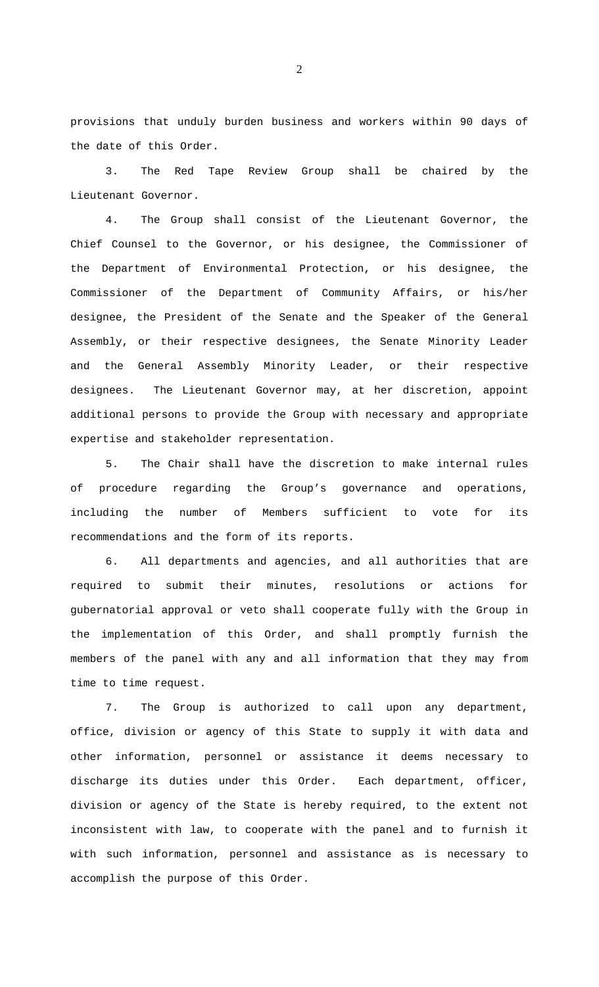provisions that unduly burden business and workers within 90 days of the date of this Order.

3. The Red Tape Review Group shall be chaired by the Lieutenant Governor.

4. The Group shall consist of the Lieutenant Governor, the Chief Counsel to the Governor, or his designee, the Commissioner of the Department of Environmental Protection, or his designee, the Commissioner of the Department of Community Affairs, or his/her designee, the President of the Senate and the Speaker of the General Assembly, or their respective designees, the Senate Minority Leader and the General Assembly Minority Leader, or their respective designees. The Lieutenant Governor may, at her discretion, appoint additional persons to provide the Group with necessary and appropriate expertise and stakeholder representation.

5. The Chair shall have the discretion to make internal rules of procedure regarding the Group's governance and operations, including the number of Members sufficient to vote for its recommendations and the form of its reports.

6. All departments and agencies, and all authorities that are required to submit their minutes, resolutions or actions for gubernatorial approval or veto shall cooperate fully with the Group in the implementation of this Order, and shall promptly furnish the members of the panel with any and all information that they may from time to time request.

7. The Group is authorized to call upon any department, office, division or agency of this State to supply it with data and other information, personnel or assistance it deems necessary to discharge its duties under this Order. Each department, officer, division or agency of the State is hereby required, to the extent not inconsistent with law, to cooperate with the panel and to furnish it with such information, personnel and assistance as is necessary to accomplish the purpose of this Order.

2